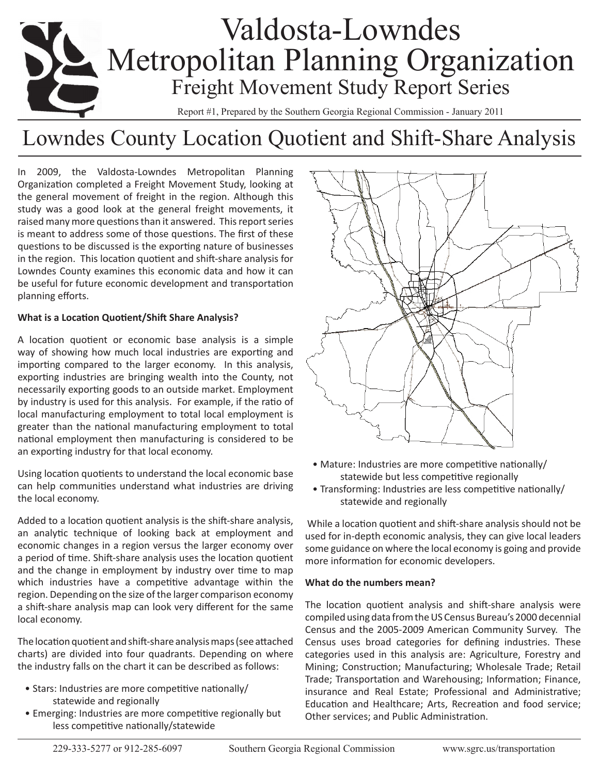# Valdosta-Lowndes **Metropolitan Planning Organization** Freight Movement Study Report Series

Report #1, Prepared by the Southern Georgia Regional Commission - January 2011

# Lowndes County Location Quotient and Shift-Share Analysis

In 2009, the Valdosta-Lowndes Metropolitan Planning Organization completed a Freight Movement Study, looking at the general movement of freight in the region. Although this study was a good look at the general freight movements, it raised many more questions than it answered. This report series is meant to address some of those questions. The first of these questions to be discussed is the exporting nature of businesses in the region. This location quotient and shift-share analysis for Lowndes County examines this economic data and how it can be useful for future economic development and transportation planning efforts.

## **What is a Location Quotient/Shift Share Analysis?**

A location quotient or economic base analysis is a simple way of showing how much local industries are exporting and importing compared to the larger economy. In this analysis, exporting industries are bringing wealth into the County, not necessarily exporting goods to an outside market. Employment by industry is used for this analysis. For example, if the ratio of local manufacturing employment to total local employment is greater than the national manufacturing employment to total national employment then manufacturing is considered to be an exporting industry for that local economy.

Using location quotients to understand the local economic base can help communities understand what industries are driving the local economy.

Added to a location quotient analysis is the shift-share analysis, an analytic technique of looking back at employment and economic changes in a region versus the larger economy over a period of time. Shift-share analysis uses the location quotient and the change in employment by industry over time to map which industries have a competitive advantage within the region. Depending on the size of the larger comparison economy a shift-share analysis map can look very different for the same local economy.

The location quotient and shift-share analysis maps (see attached charts) are divided into four quadrants. Depending on where the industry falls on the chart it can be described as follows:

- Stars: Industries are more competitive nationally/ statewide and regionally
- Emerging: Industries are more competitive regionally but less competitive nationally/statewide



- Mature: Industries are more competitive nationally/ statewide but less competitive regionally
- Transforming: Industries are less competitive nationally/ statewide and regionally

 While a location quotient and shift-share analysis should not be used for in-depth economic analysis, they can give local leaders some guidance on where the local economy is going and provide more information for economic developers.

### **What do the numbers mean?**

The location quotient analysis and shift-share analysis were compiled using data from the US Census Bureau's 2000 decennial Census and the 2005-2009 American Community Survey. The Census uses broad categories for defining industries. These categories used in this analysis are: Agriculture, Forestry and Mining; Construction; Manufacturing; Wholesale Trade; Retail Trade; Transportation and Warehousing; Information; Finance, insurance and Real Estate; Professional and Administrative; Education and Healthcare; Arts, Recreation and food service; Other services; and Public Administration.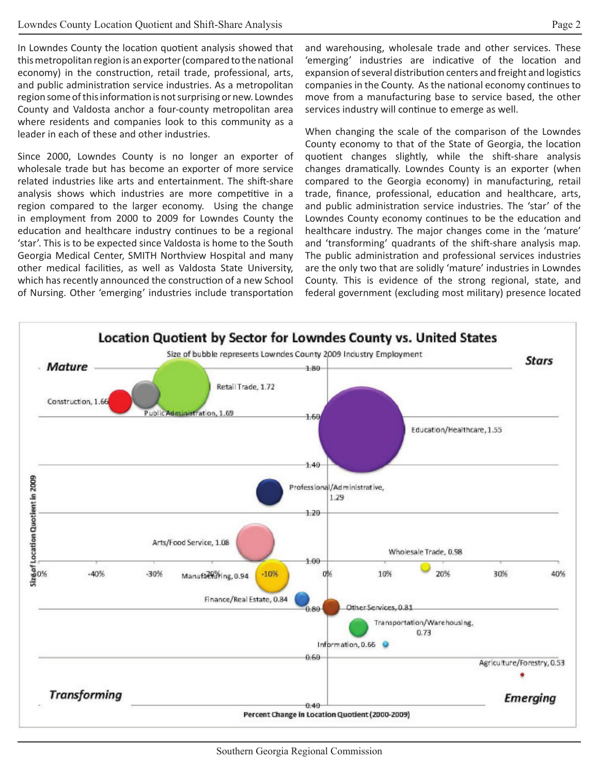In Lowndes County the location quotient analysis showed that this metropolitan region is an exporter (compared to the national economy) in the construction, retail trade, professional, arts, and public administration service industries. As a metropolitan region some of this information is not surprising or new. Lowndes County and Valdosta anchor a four-county metropolitan area where residents and companies look to this community as a leader in each of these and other industries.

Since 2000, Lowndes County is no longer an exporter of wholesale trade but has become an exporter of more service related industries like arts and entertainment. The shift-share analysis shows which industries are more competitive in a region compared to the larger economy. Using the change in employment from 2000 to 2009 for Lowndes County the education and healthcare industry continues to be a regional 'star'. This is to be expected since Valdosta is home to the South Georgia Medical Center, SMITH Northview Hospital and many other medical facilities, as well as Valdosta State University, which has recently announced the construction of a new School of Nursing. Other 'emerging' industries include transportation

and warehousing, wholesale trade and other services. These 'emerging' industries are indicative of the location and expansion of several distribution centers and freight and logistics companies in the County. As the national economy continues to move from a manufacturing base to service based, the other services industry will continue to emerge as well.

When changing the scale of the comparison of the Lowndes County economy to that of the State of Georgia, the location quotient changes slightly, while the shift-share analysis changes dramatically. Lowndes County is an exporter (when compared to the Georgia economy) in manufacturing, retail trade, finance, professional, education and healthcare, arts, and public administration service industries. The 'star' of the Lowndes County economy continues to be the education and healthcare industry. The major changes come in the 'mature' and 'transforming' quadrants of the shift-share analysis map. The public administration and professional services industries are the only two that are solidly 'mature' industries in Lowndes County. This is evidence of the strong regional, state, and federal government (excluding most military) presence located

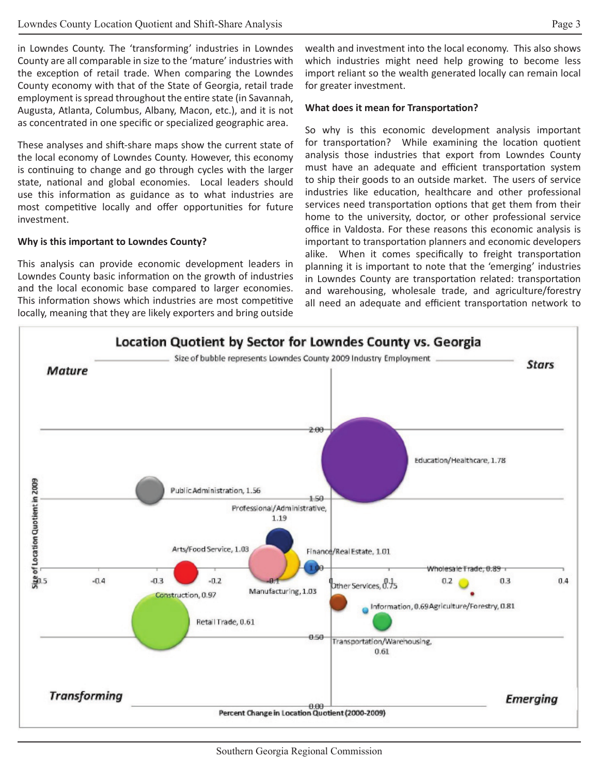in Lowndes County. The 'transforming' industries in Lowndes County are all comparable in size to the 'mature' industries with the exception of retail trade. When comparing the Lowndes County economy with that of the State of Georgia, retail trade employment is spread throughout the entire state (in Savannah, Augusta, Atlanta, Columbus, Albany, Macon, etc.), and it is not as concentrated in one specific or specialized geographic area.

These analyses and shift-share maps show the current state of the local economy of Lowndes County. However, this economy is continuing to change and go through cycles with the larger state, national and global economies. Local leaders should use this information as guidance as to what industries are most competitive locally and offer opportunities for future investment.

#### **Why is this important to Lowndes County?**

This analysis can provide economic development leaders in Lowndes County basic information on the growth of industries and the local economic base compared to larger economies. This information shows which industries are most competitive locally, meaning that they are likely exporters and bring outside wealth and investment into the local economy. This also shows which industries might need help growing to become less import reliant so the wealth generated locally can remain local for greater investment.

#### **What does it mean for Transportation?**

So why is this economic development analysis important for transportation? While examining the location quotient analysis those industries that export from Lowndes County must have an adequate and efficient transportation system to ship their goods to an outside market. The users of service industries like education, healthcare and other professional services need transportation options that get them from their home to the university, doctor, or other professional service office in Valdosta. For these reasons this economic analysis is important to transportation planners and economic developers alike. When it comes specifically to freight transportation planning it is important to note that the 'emerging' industries in Lowndes County are transportation related: transportation and warehousing, wholesale trade, and agriculture/forestry all need an adequate and efficient transportation network to